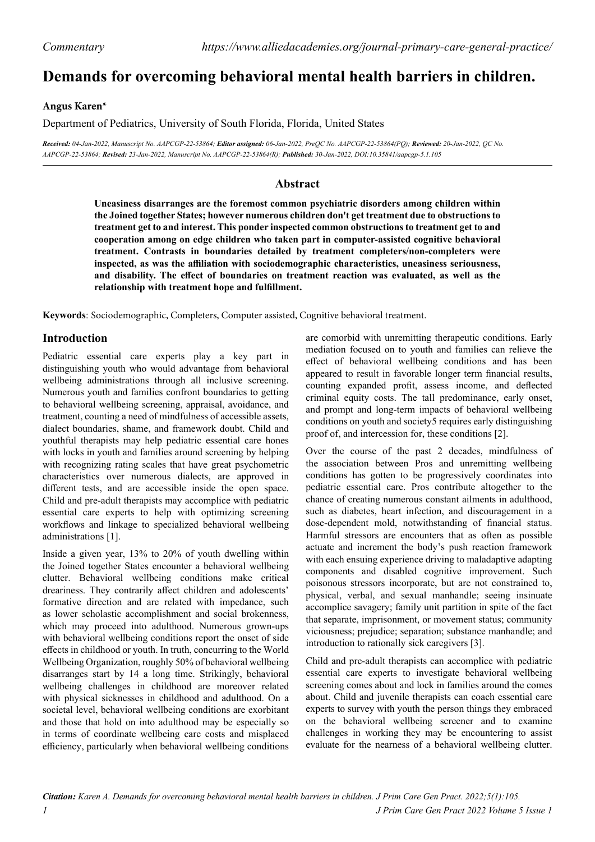# **Demands for overcoming behavioral mental health barriers in children.**

#### **Angus Karen\***

Department of Pediatrics, University of South Florida, Florida, United States

*Received: 04-Jan-2022, Manuscript No. AAPCGP-22-53864; Editor assigned: 06-Jan-2022, PreQC No. AAPCGP-22-53864(PQ); Reviewed: 20-Jan-2022, QC No. AAPCGP-22-53864; Revised: 23-Jan-2022, Manuscript No. AAPCGP-22-53864(R); Published: 30-Jan-2022, DOI:10.35841/aapcgp-5.1.105*

## **Abstract**

**Uneasiness disarranges are the foremost common psychiatric disorders among children within the Joined together States; however numerous children don't get treatment due to obstructions to treatment get to and interest. This ponder inspected common obstructions to treatment get to and cooperation among on edge children who taken part in computer-assisted cognitive behavioral treatment. Contrasts in boundaries detailed by treatment completers/non-completers were inspected, as was the affiliation with sociodemographic characteristics, uneasiness seriousness, and disability. The effect of boundaries on treatment reaction was evaluated, as well as the relationship with treatment hope and fulfillment.**

**Keywords**: Sociodemographic, Completers, Computer assisted, Cognitive behavioral treatment.

## **Introduction**

Pediatric essential care experts play a key part in distinguishing youth who would advantage from behavioral wellbeing administrations through all inclusive screening. Numerous youth and families confront boundaries to getting to behavioral wellbeing screening, appraisal, avoidance, and treatment, counting a need of mindfulness of accessible assets, dialect boundaries, shame, and framework doubt. Child and youthful therapists may help pediatric essential care hones with locks in youth and families around screening by helping with recognizing rating scales that have great psychometric characteristics over numerous dialects, are approved in different tests, and are accessible inside the open space. Child and pre-adult therapists may accomplice with pediatric essential care experts to help with optimizing screening workflows and linkage to specialized behavioral wellbeing administrations [1].

Inside a given year, 13% to 20% of youth dwelling within the Joined together States encounter a behavioral wellbeing clutter. Behavioral wellbeing conditions make critical dreariness. They contrarily affect children and adolescents' formative direction and are related with impedance, such as lower scholastic accomplishment and social brokenness, which may proceed into adulthood. Numerous grown-ups with behavioral wellbeing conditions report the onset of side effects in childhood or youth. In truth, concurring to the World Wellbeing Organization, roughly 50% of behavioral wellbeing disarranges start by 14 a long time. Strikingly, behavioral wellbeing challenges in childhood are moreover related with physical sicknesses in childhood and adulthood. On a societal level, behavioral wellbeing conditions are exorbitant and those that hold on into adulthood may be especially so in terms of coordinate wellbeing care costs and misplaced efficiency, particularly when behavioral wellbeing conditions are comorbid with unremitting therapeutic conditions. Early mediation focused on to youth and families can relieve the effect of behavioral wellbeing conditions and has been appeared to result in favorable longer term financial results, counting expanded profit, assess income, and deflected criminal equity costs. The tall predominance, early onset, and prompt and long-term impacts of behavioral wellbeing conditions on youth and society5 requires early distinguishing proof of, and intercession for, these conditions [2].

Over the course of the past 2 decades, mindfulness of the association between Pros and unremitting wellbeing conditions has gotten to be progressively coordinates into pediatric essential care. Pros contribute altogether to the chance of creating numerous constant ailments in adulthood, such as diabetes, heart infection, and discouragement in a dose-dependent mold, notwithstanding of financial status. Harmful stressors are encounters that as often as possible actuate and increment the body's push reaction framework with each ensuing experience driving to maladaptive adapting components and disabled cognitive improvement. Such poisonous stressors incorporate, but are not constrained to, physical, verbal, and sexual manhandle; seeing insinuate accomplice savagery; family unit partition in spite of the fact that separate, imprisonment, or movement status; community viciousness; prejudice; separation; substance manhandle; and introduction to rationally sick caregivers [3].

Child and pre-adult therapists can accomplice with pediatric essential care experts to investigate behavioral wellbeing screening comes about and lock in families around the comes about. Child and juvenile therapists can coach essential care experts to survey with youth the person things they embraced on the behavioral wellbeing screener and to examine challenges in working they may be encountering to assist evaluate for the nearness of a behavioral wellbeing clutter.